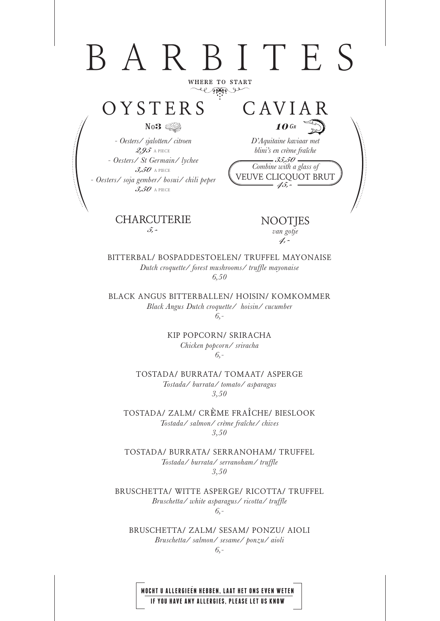# BARBITES

**WHERE TO START** el space

### **OYSTERS**

No**3**

*- Oesters/ sjalotten/ citroen 2,95* A PIECE *- Oesters/ St Germain/ lychee 3,50* A PIECE *- Oesters/ soja gember/ bosui/ chili peper 3,50* A PIECE

> **CHARCUTERIE** *5,-*

*Combine with a glass of* **VEUVE CLICQUOT BRUT** *45, blini's en crème fraîche 35,50*

**10** G<sup>r</sup> *D'Aquitaine kaviaar met* 

**CAVIAR**

**NOOTJES**  *van gotje 4,-*

**BITTERBAL/ BOSPADDESTOELEN/ TRUFFEL MAYONAISE**  *Dutch croquette/ forest mushrooms/ truffle mayonaise 6,50* 

**BLACK ANGUS BITTERBALLEN/ HOISIN/ KOMKOMMER**  *Black Angus Dutch croquette/ hoisin/ cucumber 6,-*

> **KIP POPCORN/ SRIRACHA** *Chicken popcorn/ sriracha 6,-*

**TOSTADA/ BURRATA/ TOMAAT/ ASPERGE**  *Tostada/ burrata/ tomato/ asparagus 3,50* 

**TOSTADA/ ZALM/ CR**È**ME FRA**Î**CHE/ BIESLOOK**  *Tostada/ salmon/ crème fraîche/ chives 3,50* 

**TOSTADA/ BURRATA/ SERRANOHAM/ TRUFFEL** *Tostada/ burrata/ serranoham/ truffle 3,50* 

**BRUSCHETTA/ WITTE ASPERGE/ RICOTTA/ TRUFFEL**  *Bruschetta/ white asparagus/ ricotta/ truffle 6,-*

**BRUSCHETTA/ ZALM/ SESAM/ PONZU/ AIOLI**  *Bruschetta/ salmon/ sesame/ ponzu/ aioli* 

*6,-*

**MOCHT U ALLERGIEEN HEBBEN, LAAT HET ONS EVEN WETEN IF YOU HAVE ANY ALLERGIES, PLEASE LET US KNOW**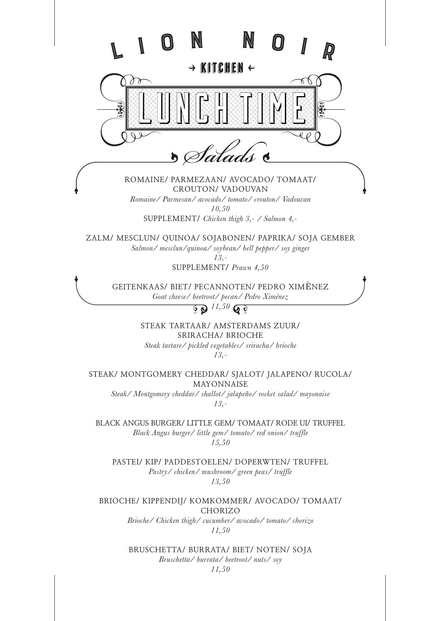

**BLACK ANGUS BURGER/ LITTLE GEM/ TOMAAT/ RODE UI/ TRUFFEL**  *Black Angus burger/ little gem/ tomato/ red onion/ truffle 15,50* 

**PASTEI/ KIP/ PADDESTOELEN/ DOPERWTEN/ TRUFFEL** *Pastry/ chicken/ mushroom/ green peas/ truffle 13,50*

**BRIOCHE/ KIPPENDIJ/ KOMKOMMER/ AVOCADO/ TOMAAT/ CHORIZO**

> *Brioche/ Chicken thigh/ cucumber/ avocado/ tomato/ chorizo 11,50*

> **BRUSCHETTA/ BURRATA/ BIET/ NOTEN/ SOJA**  *Bruschetta/ burrata/ beetroot/ nuts/ soy 11,50*